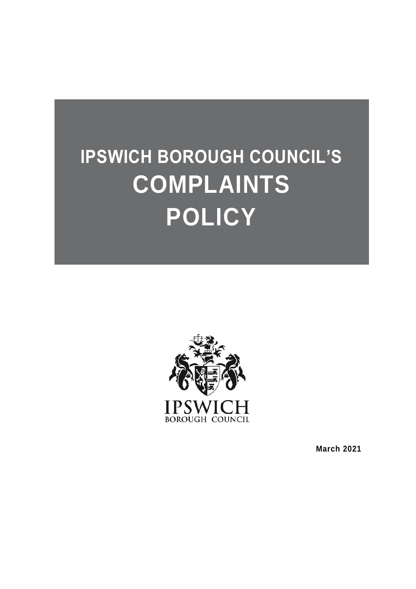# **IPSWICH BOROUGH COUNCIL'S COMPLAINTS POLICY**



**March 2021**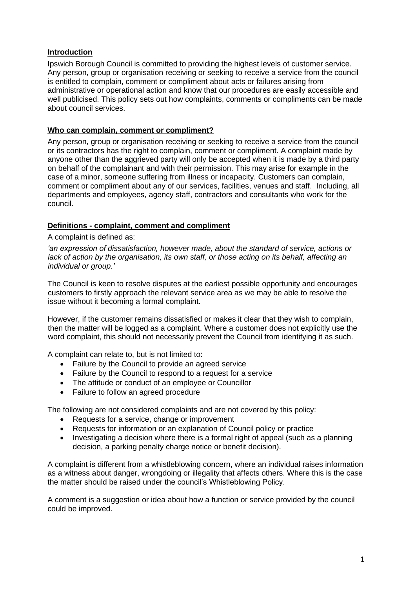## **Introduction**

Ipswich Borough Council is committed to providing the highest levels of customer service. Any person, group or organisation receiving or seeking to receive a service from the council is entitled to complain, comment or compliment about acts or failures arising from administrative or operational action and know that our procedures are easily accessible and well publicised. This policy sets out how complaints, comments or compliments can be made about council services.

## **Who can complain, comment or compliment?**

Any person, group or organisation receiving or seeking to receive a service from the council or its contractors has the right to complain, comment or compliment. A complaint made by anyone other than the aggrieved party will only be accepted when it is made by a third party on behalf of the complainant and with their permission. This may arise for example in the case of a minor, someone suffering from illness or incapacity. Customers can complain, comment or compliment about any of our services, facilities, venues and staff. Including, all departments and employees, agency staff, contractors and consultants who work for the council.

## **Definitions - complaint, comment and compliment**

A complaint is defined as:

*'an expression of dissatisfaction, however made, about the standard of service, actions or lack of action by the organisation, its own staff, or those acting on its behalf, affecting an individual or group.'*

The Council is keen to resolve disputes at the earliest possible opportunity and encourages customers to firstly approach the relevant service area as we may be able to resolve the issue without it becoming a formal complaint.

However, if the customer remains dissatisfied or makes it clear that they wish to complain, then the matter will be logged as a complaint. Where a customer does not explicitly use the word complaint, this should not necessarily prevent the Council from identifying it as such.

A complaint can relate to, but is not limited to:

- Failure by the Council to provide an agreed service
- Failure by the Council to respond to a request for a service
- The attitude or conduct of an employee or Councillor
- Failure to follow an agreed procedure

The following are not considered complaints and are not covered by this policy:

- Requests for a service, change or improvement
- Requests for information or an explanation of Council policy or practice
- Investigating a decision where there is a formal right of appeal (such as a planning decision, a parking penalty charge notice or benefit decision).

A complaint is different from a whistleblowing concern, where an individual raises information as a witness about danger, wrongdoing or illegality that affects others. Where this is the case the matter should be raised under the council's Whistleblowing Policy.

A comment is a suggestion or idea about how a function or service provided by the council could be improved.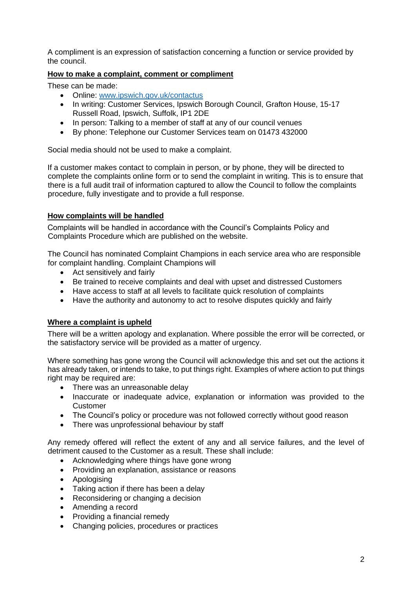A compliment is an expression of satisfaction concerning a function or service provided by the council.

## **How to make a complaint, comment or compliment**

These can be made:

- Online: [www.ipswich.gov.uk/contactus](file://///ipswich.gov.uk/IBC/Customer%20Services/Customer%20Access%20Strategy%20-%20Project%20Folder/5Cs%20-%20Contact%20Us/COMPLAINTS%20-%20PROPOSED/Policy/www.ipswich.gov.uk/contactus)
- In writing: Customer Services, Ipswich Borough Council, Grafton House, 15-17 Russell Road, Ipswich, Suffolk, IP1 2DE
- In person: Talking to a member of staff at any of our council venues
- By phone: Telephone our Customer Services team on 01473 432000

Social media should not be used to make a complaint.

If a customer makes contact to complain in person, or by phone, they will be directed to complete the complaints online form or to send the complaint in writing. This is to ensure that there is a full audit trail of information captured to allow the Council to follow the complaints procedure, fully investigate and to provide a full response.

#### **How complaints will be handled**

Complaints will be handled in accordance with the Council's Complaints Policy and Complaints Procedure which are published on the website.

The Council has nominated Complaint Champions in each service area who are responsible for complaint handling. Complaint Champions will

- Act sensitively and fairly
- Be trained to receive complaints and deal with upset and distressed Customers
- Have access to staff at all levels to facilitate quick resolution of complaints
- Have the authority and autonomy to act to resolve disputes quickly and fairly

#### **Where a complaint is upheld**

There will be a written apology and explanation. Where possible the error will be corrected, or the satisfactory service will be provided as a matter of urgency.

Where something has gone wrong the Council will acknowledge this and set out the actions it has already taken, or intends to take, to put things right. Examples of where action to put things right may be required are:

- There was an unreasonable delay
- Inaccurate or inadequate advice, explanation or information was provided to the Customer
- The Council's policy or procedure was not followed correctly without good reason
- There was unprofessional behaviour by staff

Any remedy offered will reflect the extent of any and all service failures, and the level of detriment caused to the Customer as a result. These shall include:

- Acknowledging where things have gone wrong
- Providing an explanation, assistance or reasons
- Apologising
- Taking action if there has been a delay
- Reconsidering or changing a decision
- Amending a record
- Providing a financial remedy
- Changing policies, procedures or practices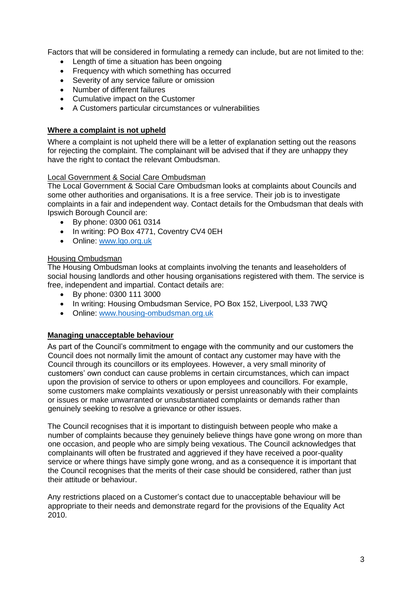Factors that will be considered in formulating a remedy can include, but are not limited to the:

- **Length of time a situation has been ongoing**
- Frequency with which something has occurred
- Severity of any service failure or omission
- Number of different failures
- Cumulative impact on the Customer
- A Customers particular circumstances or vulnerabilities

## **Where a complaint is not upheld**

Where a complaint is not upheld there will be a letter of explanation setting out the reasons for rejecting the complaint. The complainant will be advised that if they are unhappy they have the right to contact the relevant Ombudsman.

#### Local Government & Social Care Ombudsman

The Local Government & Social Care Ombudsman looks at complaints about Councils and some other authorities and organisations. It is a free service. Their job is to investigate complaints in a fair and independent way. Contact details for the Ombudsman that deals with Ipswich Borough Council are:

- By phone: 0300 061 0314
- In writing: PO Box 4771, Coventry CV4 0EH
- Online: [www.lgo.org.uk](http://www.lgo.org.uk/)

## Housing Ombudsman

The Housing Ombudsman looks at complaints involving the tenants and leaseholders of social housing landlords and other housing organisations registered with them. The service is free, independent and impartial. Contact details are:

- By phone: 0300 111 3000
- In writing: Housing Ombudsman Service, PO Box 152, Liverpool, L33 7WQ
- Online: [www.housing-ombudsman.org.uk](http://www.housing-ombudsman.org.uk/)

## **Managing unacceptable behaviour**

As part of the Council's commitment to engage with the community and our customers the Council does not normally limit the amount of contact any customer may have with the Council through its councillors or its employees. However, a very small minority of customers' own conduct can cause problems in certain circumstances, which can impact upon the provision of service to others or upon employees and councillors. For example, some customers make complaints vexatiously or persist unreasonably with their complaints or issues or make unwarranted or unsubstantiated complaints or demands rather than genuinely seeking to resolve a grievance or other issues.

The Council recognises that it is important to distinguish between people who make a number of complaints because they genuinely believe things have gone wrong on more than one occasion, and people who are simply being vexatious. The Council acknowledges that complainants will often be frustrated and aggrieved if they have received a poor-quality service or where things have simply gone wrong, and as a consequence it is important that the Council recognises that the merits of their case should be considered, rather than just their attitude or behaviour.

Any restrictions placed on a Customer's contact due to unacceptable behaviour will be appropriate to their needs and demonstrate regard for the provisions of the Equality Act 2010.